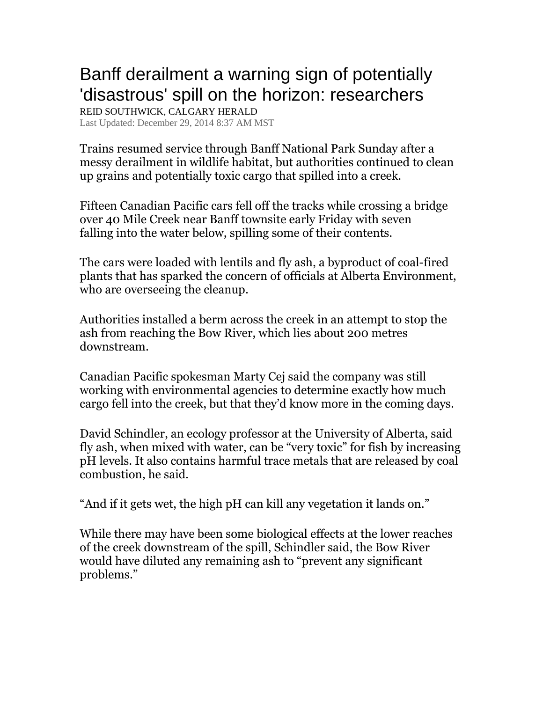## Banff derailment a warning sign of potentially 'disastrous' spill on the horizon: researchers

REID SOUTHWICK, CALGARY HERALD Last Updated: December 29, 2014 8:37 AM MST

Trains resumed service through Banff National Park Sunday after a messy derailment in wildlife habitat, but authorities continued to clean up grains and potentially toxic cargo that spilled into a creek.

Fifteen Canadian Pacific cars fell off the tracks while crossing a bridge over 40 Mile Creek near Banff townsite early Friday with seven falling into the water below, spilling some of their contents.

The cars were loaded with lentils and fly ash, a byproduct of coal-fired plants that has sparked the concern of officials at Alberta Environment, who are overseeing the cleanup.

Authorities installed a berm across the creek in an attempt to stop the ash from reaching the Bow River, which lies about 200 metres downstream.

Canadian Pacific spokesman Marty Cej said the company was still working with environmental agencies to determine exactly how much cargo fell into the creek, but that they'd know more in the coming days.

David Schindler, an ecology professor at the University of Alberta, said fly ash, when mixed with water, can be "very toxic" for fish by increasing pH levels. It also contains harmful trace metals that are released by coal combustion, he said.

"And if it gets wet, the high pH can kill any vegetation it lands on."

While there may have been some biological effects at the lower reaches of the creek downstream of the spill, Schindler said, the Bow River would have diluted any remaining ash to "prevent any significant problems."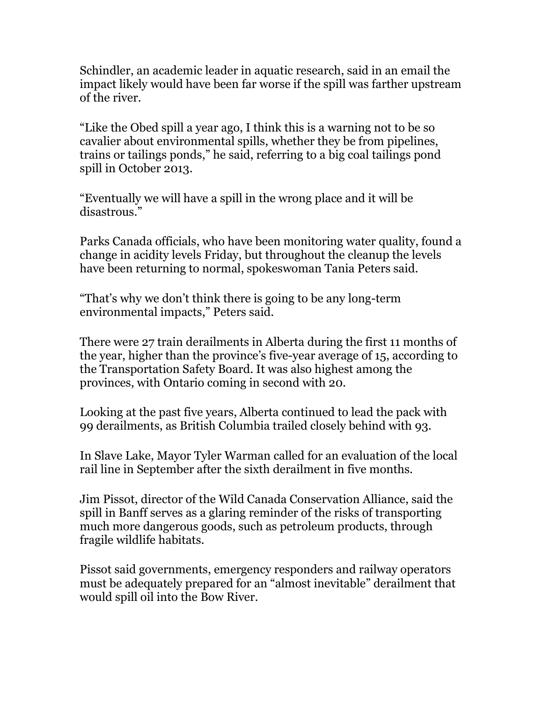Schindler, an academic leader in aquatic research, said in an email the impact likely would have been far worse if the spill was farther upstream of the river.

"Like the Obed spill a year ago, I think this is a warning not to be so cavalier about environmental spills, whether they be from pipelines, trains or tailings ponds," he said, referring to a big coal tailings pond spill in October 2013.

"Eventually we will have a spill in the wrong place and it will be disastrous."

Parks Canada officials, who have been monitoring water quality, found a change in acidity levels Friday, but throughout the cleanup the levels have been returning to normal, spokeswoman Tania Peters said.

"That's why we don't think there is going to be any long-term environmental impacts," Peters said.

There were 27 train derailments in Alberta during the first 11 months of the year, higher than the province's five-year average of 15, according to the Transportation Safety Board. It was also highest among the provinces, with Ontario coming in second with 20.

Looking at the past five years, Alberta continued to lead the pack with 99 derailments, as British Columbia trailed closely behind with 93.

In Slave Lake, Mayor Tyler Warman called for an evaluation of the local rail line in September after the sixth derailment in five months.

Jim Pissot, director of the Wild Canada Conservation Alliance, said the spill in Banff serves as a glaring reminder of the risks of transporting much more dangerous goods, such as petroleum products, through fragile wildlife habitats.

Pissot said governments, emergency responders and railway operators must be adequately prepared for an "almost inevitable" derailment that would spill oil into the Bow River.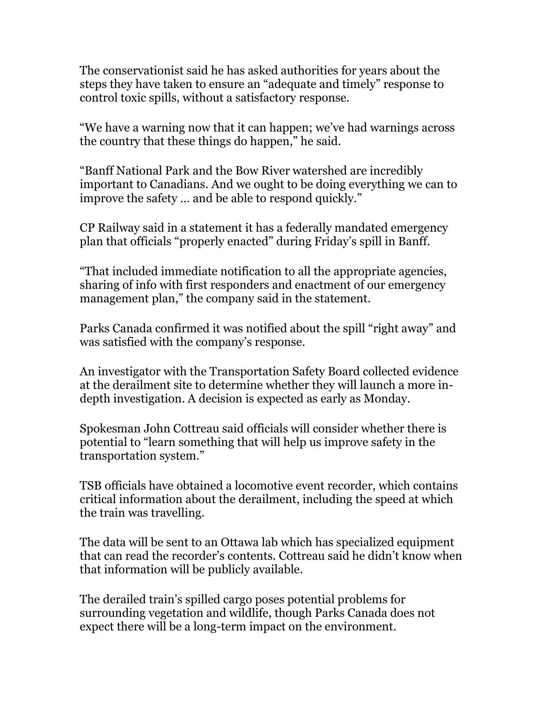The conservationist said he has asked authorities for years about the steps they have taken to ensure an "adequate and timely" response to control toxic spills, without a satisfactory response.

"We have a warning now that it can happen; we've had warnings across the country that these things do happen," he said.

"Banff National Park and the Bow River watershed are incredibly important to Canadians. And we ought to be doing everything we can to improve the safety … and be able to respond quickly."

CP Railway said in a statement it has a federally mandated emergency plan that officials "properly enacted" during Friday's spill in Banff.

"That included immediate notification to all the appropriate agencies, sharing of info with first responders and enactment of our emergency management plan," the company said in the statement.

Parks Canada confirmed it was notified about the spill "right away" and was satisfied with the company's response.

An investigator with the Transportation Safety Board collected evidence at the derailment site to determine whether they will launch a more indepth investigation. A decision is expected as early as Monday.

Spokesman John Cottreau said officials will consider whether there is potential to "learn something that will help us improve safety in the transportation system."

TSB officials have obtained a locomotive event recorder, which contains critical information about the derailment, including the speed at which the train was travelling.

The data will be sent to an Ottawa lab which has specialized equipment that can read the recorder's contents. Cottreau said he didn't know when that information will be publicly available.

The derailed train's spilled cargo poses potential problems for surrounding vegetation and wildlife, though Parks Canada does not expect there will be a long-term impact on the environment.